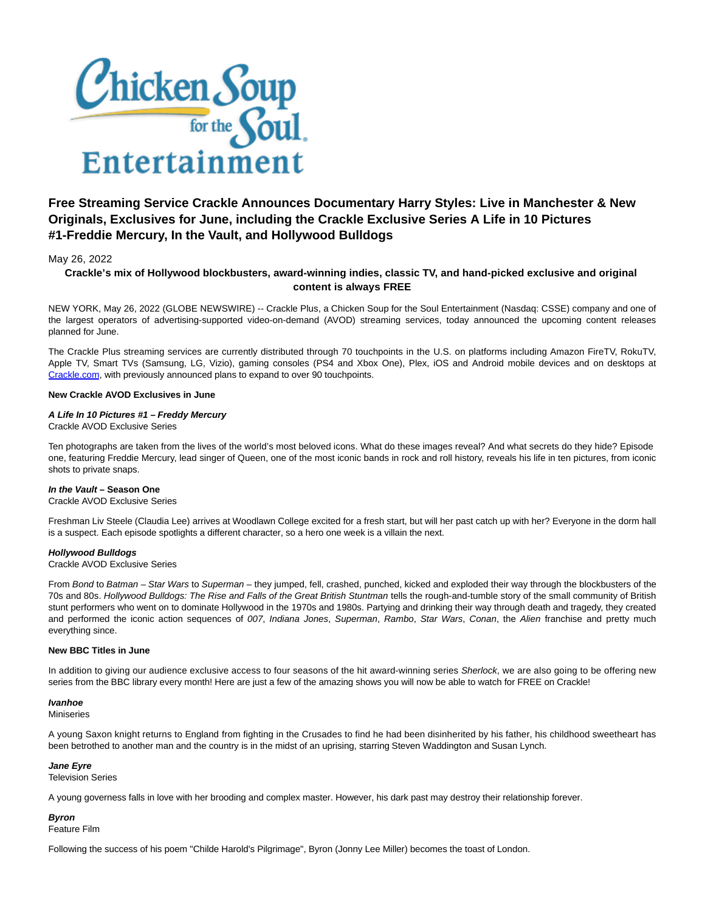

# **Free Streaming Service Crackle Announces Documentary Harry Styles: Live in Manchester & New Originals, Exclusives for June, including the Crackle Exclusive Series A Life in 10 Pictures #1-Freddie Mercury, In the Vault, and Hollywood Bulldogs**

# May 26, 2022

# **Crackle's mix of Hollywood blockbusters, award-winning indies, classic TV, and hand-picked exclusive and original content is always FREE**

NEW YORK, May 26, 2022 (GLOBE NEWSWIRE) -- Crackle Plus, a Chicken Soup for the Soul Entertainment (Nasdaq: CSSE) company and one of the largest operators of advertising-supported video-on-demand (AVOD) streaming services, today announced the upcoming content releases planned for June.

The Crackle Plus streaming services are currently distributed through 70 touchpoints in the U.S. on platforms including Amazon FireTV, RokuTV, Apple TV, Smart TVs (Samsung, LG, Vizio), gaming consoles (PS4 and Xbox One), Plex, iOS and Android mobile devices and on desktops at [Crackle.com,](https://www.globenewswire.com/Tracker?data=_JT9YO5Bbd4Knnxt36X13gXCq13rWddvBI7XaBIXQZR5tN9BXie51EbcjbVCXQdv2VEUToe6vbwvTOHV66j2ww==) with previously announced plans to expand to over 90 touchpoints.

### **New Crackle AVOD Exclusives in June**

# **A Life In 10 Pictures #1 – Freddy Mercury**

Crackle AVOD Exclusive Series

Ten photographs are taken from the lives of the world's most beloved icons. What do these images reveal? And what secrets do they hide? Episode one, featuring Freddie Mercury, lead singer of Queen, one of the most iconic bands in rock and roll history, reveals his life in ten pictures, from iconic shots to private snaps.

# **In the Vault – Season One**

Crackle AVOD Exclusive Series

Freshman Liv Steele (Claudia Lee) arrives at Woodlawn College excited for a fresh start, but will her past catch up with her? Everyone in the dorm hall is a suspect. Each episode spotlights a different character, so a hero one week is a villain the next.

# **Hollywood Bulldogs**

Crackle AVOD Exclusive Series

From Bond to Batman – Star Wars to Superman – they jumped, fell, crashed, punched, kicked and exploded their way through the blockbusters of the 70s and 80s. Hollywood Bulldogs: The Rise and Falls of the Great British Stuntman tells the rough-and-tumble story of the small community of British stunt performers who went on to dominate Hollywood in the 1970s and 1980s. Partying and drinking their way through death and tragedy, they created and performed the iconic action sequences of 007, Indiana Jones, Superman, Rambo, Star Wars, Conan, the Alien franchise and pretty much everything since.

# **New BBC Titles in June**

In addition to giving our audience exclusive access to four seasons of the hit award-winning series Sherlock, we are also going to be offering new series from the BBC library every month! Here are just a few of the amazing shows you will now be able to watch for FREE on Crackle!

# **Ivanhoe**

Miniseries

A young Saxon knight returns to England from fighting in the Crusades to find he had been disinherited by his father, his childhood sweetheart has been betrothed to another man and the country is in the midst of an uprising, starring Steven Waddington and Susan Lynch.

#### **Jane Eyre**

Television Series

A young governess falls in love with her brooding and complex master. However, his dark past may destroy their relationship forever.

# **Byron**

Feature Film

Following the success of his poem "Childe Harold's Pilgrimage", Byron (Jonny Lee Miller) becomes the toast of London.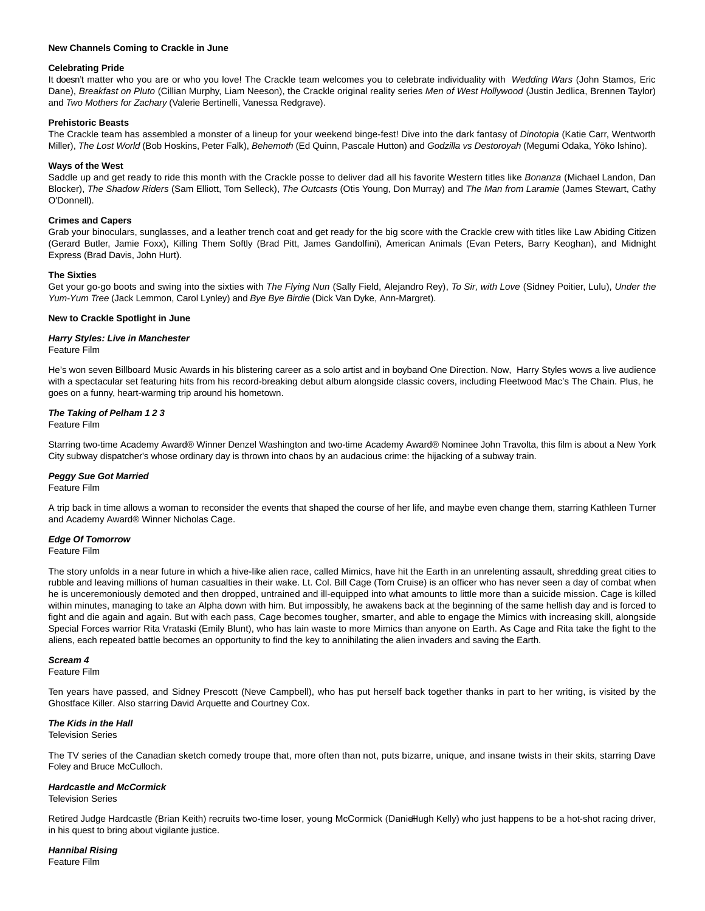### **New Channels Coming to Crackle in June**

### **Celebrating Pride**

It doesn't matter who you are or who you love! The Crackle team welcomes you to celebrate individuality with Wedding Wars (John Stamos, Eric Dane), Breakfast on Pluto (Cillian Murphy, Liam Neeson), the Crackle original reality series Men of West Hollywood (Justin Jedlica, Brennen Taylor) and Two Mothers for Zachary (Valerie Bertinelli, Vanessa Redgrave).

## **Prehistoric Beasts**

The Crackle team has assembled a monster of a lineup for your weekend binge-fest! Dive into the dark fantasy of Dinotopia (Katie Carr, Wentworth Miller), The Lost World (Bob Hoskins, Peter Falk), Behemoth (Ed Quinn, Pascale Hutton) and Godzilla vs Destoroyah (Megumi Odaka, Yōko Ishino).

### **Ways of the West**

Saddle up and get ready to ride this month with the Crackle posse to deliver dad all his favorite Western titles like Bonanza (Michael Landon, Dan Blocker), The Shadow Riders (Sam Elliott, Tom Selleck), The Outcasts (Otis Young, Don Murray) and The Man from Laramie (James Stewart, Cathy O'Donnell).

### **Crimes and Capers**

Grab your binoculars, sunglasses, and a leather trench coat and get ready for the big score with the Crackle crew with titles like Law Abiding Citizen (Gerard Butler, Jamie Foxx), Killing Them Softly (Brad Pitt, James Gandolfini), American Animals (Evan Peters, Barry Keoghan), and Midnight Express (Brad Davis, John Hurt).

### **The Sixties**

Get your go-go boots and swing into the sixties with The Flying Nun (Sally Field, Alejandro Rey), To Sir, with Love (Sidney Poitier, Lulu), Under the Yum-Yum Tree (Jack Lemmon, Carol Lynley) and Bye Bye Birdie (Dick Van Dyke, Ann-Margret).

### **New to Crackle Spotlight in June**

### **Harry Styles: Live in Manchester** Feature Film

He's won seven Billboard Music Awards in his blistering career as a solo artist and in boyband One Direction. Now, Harry Styles wows a live audience with a spectacular set featuring hits from his record-breaking debut album alongside classic covers, including Fleetwood Mac's The Chain. Plus, he goes on a funny, heart-warming trip around his hometown.

# **The Taking of Pelham 1 2 3**

Feature Film

Starring two-time Academy Award® Winner Denzel Washington and two-time Academy Award® Nominee John Travolta, this film is about a New York City subway dispatcher's whose ordinary day is thrown into chaos by an audacious crime: the hijacking of a subway train.

# **Peggy Sue Got Married**

Feature Film

A trip back in time allows a woman to reconsider the events that shaped the course of her life, and maybe even change them, starring Kathleen Turner and Academy Award® Winner Nicholas Cage.

#### **Edge Of Tomorrow**

Feature Film

The story unfolds in a near future in which a hive-like alien race, called Mimics, have hit the Earth in an unrelenting assault, shredding great cities to rubble and leaving millions of human casualties in their wake. Lt. Col. Bill Cage (Tom Cruise) is an officer who has never seen a day of combat when he is unceremoniously demoted and then dropped, untrained and ill-equipped into what amounts to little more than a suicide mission. Cage is killed within minutes, managing to take an Alpha down with him. But impossibly, he awakens back at the beginning of the same hellish day and is forced to fight and die again and again. But with each pass, Cage becomes tougher, smarter, and able to engage the Mimics with increasing skill, alongside Special Forces warrior Rita Vrataski (Emily Blunt), who has lain waste to more Mimics than anyone on Earth. As Cage and Rita take the fight to the aliens, each repeated battle becomes an opportunity to find the key to annihilating the alien invaders and saving the Earth.

#### **Scream 4**

Feature Film

Ten years have passed, and Sidney Prescott (Neve Campbell), who has put herself back together thanks in part to her writing, is visited by the Ghostface Killer. Also starring David Arquette and Courtney Cox.

#### **The Kids in the Hall** Television Series

The TV series of the Canadian sketch comedy troupe that, more often than not, puts bizarre, unique, and insane twists in their skits, starring Dave Foley and Bruce McCulloch.

# **Hardcastle and McCormick**

#### Television Series

Retired Judge Hardcastle (Brian Keith) recruits two-time loser, young McCormick (Danie Hugh Kelly) who just happens to be a hot-shot racing driver, in his quest to bring about vigilante justice.

**Hannibal Rising** Feature Film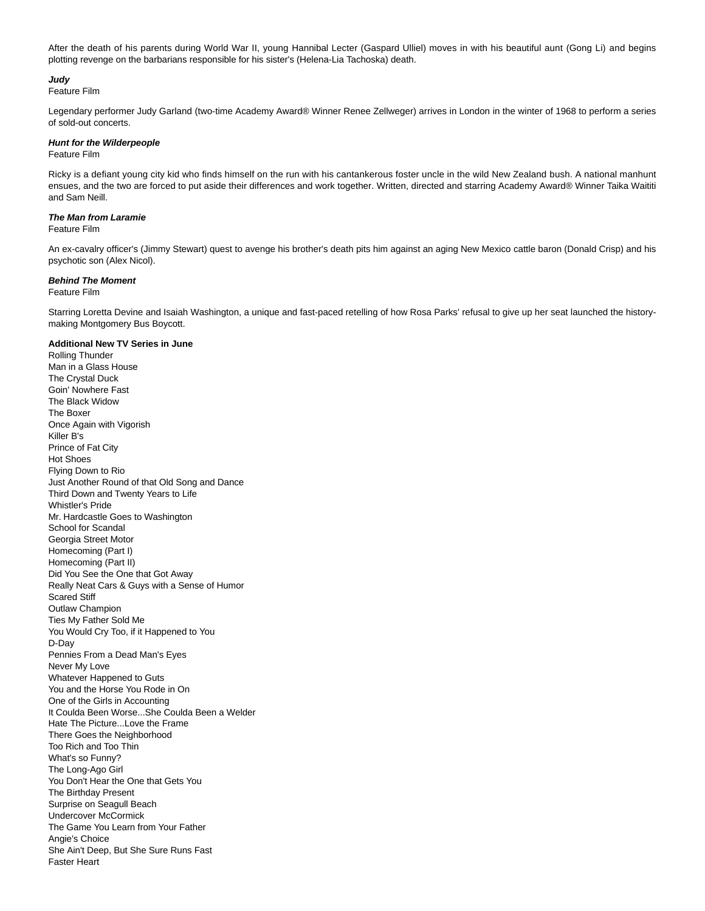After the death of his parents during World War II, young Hannibal Lecter (Gaspard Ulliel) moves in with his beautiful aunt (Gong Li) and begins plotting revenge on the barbarians responsible for his sister's (Helena-Lia Tachoska) death.

# **Judy**

Feature Film

Legendary performer Judy Garland (two-time Academy Award® Winner Renee Zellweger) arrives in London in the winter of 1968 to perform a series of sold-out concerts.

### **Hunt for the Wilderpeople**

Feature Film

Ricky is a defiant young city kid who finds himself on the run with his cantankerous foster uncle in the wild New Zealand bush. A national manhunt ensues, and the two are forced to put aside their differences and work together. Written, directed and starring Academy Award® Winner Taika Waititi and Sam Neill.

#### **The Man from Laramie**

Feature Film

An ex-cavalry officer's (Jimmy Stewart) quest to avenge his brother's death pits him against an aging New Mexico cattle baron (Donald Crisp) and his psychotic son (Alex Nicol).

#### **Behind The Moment**

Feature Film

Starring Loretta Devine and Isaiah Washington, a unique and fast-paced retelling of how Rosa Parks' refusal to give up her seat launched the historymaking Montgomery Bus Boycott.

#### **Additional New TV Series in June**

Rolling Thunder Man in a Glass House The Crystal Duck Goin' Nowhere Fast The Black Widow The Boxer Once Again with Vigorish Killer B's Prince of Fat City Hot Shoes Flying Down to Rio Just Another Round of that Old Song and Dance Third Down and Twenty Years to Life Whistler's Pride Mr. Hardcastle Goes to Washington School for Scandal Georgia Street Motor Homecoming (Part I) Homecoming (Part II) Did You See the One that Got Away Really Neat Cars & Guys with a Sense of Humor Scared Stiff Outlaw Champion Ties My Father Sold Me You Would Cry Too, if it Happened to You D-Day Pennies From a Dead Man's Eyes Never My Love Whatever Happened to Guts You and the Horse You Rode in On One of the Girls in Accounting It Coulda Been Worse...She Coulda Been a Welder Hate The Picture...Love the Frame There Goes the Neighborhood Too Rich and Too Thin What's so Funny? The Long-Ago Girl You Don't Hear the One that Gets You The Birthday Present Surprise on Seagull Beach Undercover McCormick The Game You Learn from Your Father Angie's Choice She Ain't Deep, But She Sure Runs Fast Faster Heart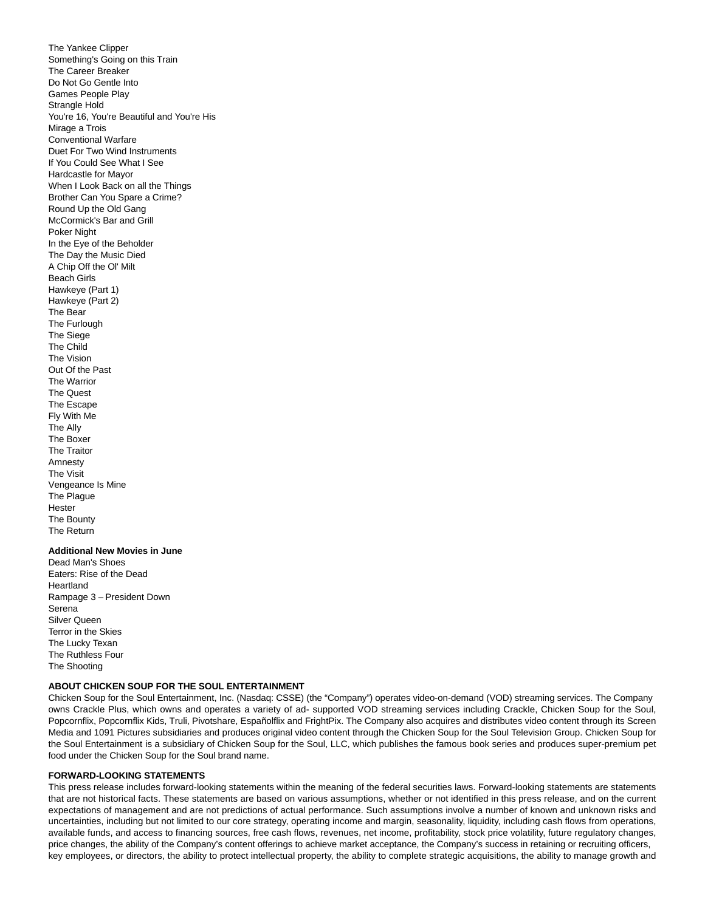The Yankee Clipper Something's Going on this Train The Career Breaker Do Not Go Gentle Into Games People Play Strangle Hold You're 16, You're Beautiful and You're His Mirage a Trois Conventional Warfare Duet For Two Wind Instruments If You Could See What I See Hardcastle for Mayor When I Look Back on all the Things Brother Can You Spare a Crime? Round Up the Old Gang McCormick's Bar and Grill Poker Night In the Eye of the Beholder The Day the Music Died A Chip Off the Ol' Milt Beach Girls Hawkeye (Part 1) Hawkeye (Part 2) The Bear The Furlough The Siege The Child The Vision Out Of the Past The Warrior The Quest The Escape Fly With Me The Ally The Boxer The Traitor Amnesty The Visit Vengeance Is Mine The Plague Hester The Bounty The Return

# **Additional New Movies in June**

Dead Man's Shoes Eaters: Rise of the Dead Heartland Rampage 3 – President Down **Serena** Silver Queen Terror in the Skies The Lucky Texan The Ruthless Four The Shooting

#### **ABOUT CHICKEN SOUP FOR THE SOUL ENTERTAINMENT**

Chicken Soup for the Soul Entertainment, Inc. (Nasdaq: CSSE) (the "Company") operates video-on-demand (VOD) streaming services. The Company owns Crackle Plus, which owns and operates a variety of ad- supported VOD streaming services including Crackle, Chicken Soup for the Soul, Popcornflix, Popcornflix Kids, Truli, Pivotshare, Españolflix and FrightPix. The Company also acquires and distributes video content through its Screen Media and 1091 Pictures subsidiaries and produces original video content through the Chicken Soup for the Soul Television Group. Chicken Soup for the Soul Entertainment is a subsidiary of Chicken Soup for the Soul, LLC, which publishes the famous book series and produces super-premium pet food under the Chicken Soup for the Soul brand name.

#### **FORWARD-LOOKING STATEMENTS**

This press release includes forward-looking statements within the meaning of the federal securities laws. Forward-looking statements are statements that are not historical facts. These statements are based on various assumptions, whether or not identified in this press release, and on the current expectations of management and are not predictions of actual performance. Such assumptions involve a number of known and unknown risks and uncertainties, including but not limited to our core strategy, operating income and margin, seasonality, liquidity, including cash flows from operations, available funds, and access to financing sources, free cash flows, revenues, net income, profitability, stock price volatility, future regulatory changes, price changes, the ability of the Company's content offerings to achieve market acceptance, the Company's success in retaining or recruiting officers, key employees, or directors, the ability to protect intellectual property, the ability to complete strategic acquisitions, the ability to manage growth and